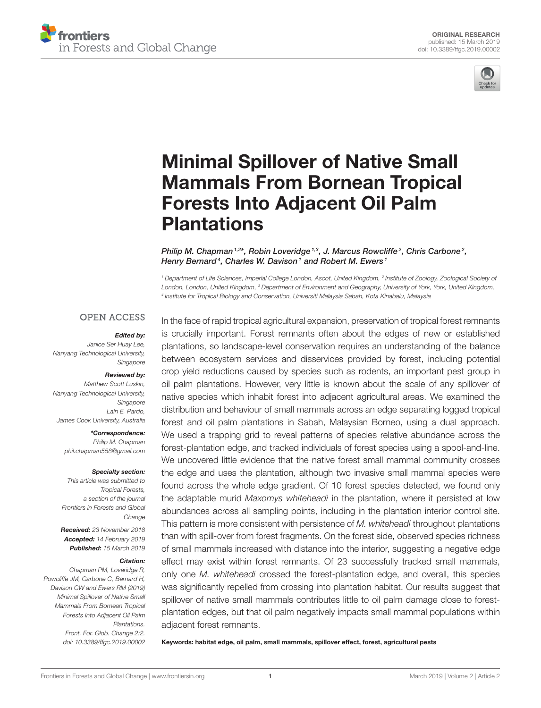



# Minimal Spillover of Native Small [Mammals From Bornean Tropical](https://www.frontiersin.org/articles/10.3389/ffgc.2019.00002/full) Forests Into Adjacent Oil Palm **Plantations**

[Philip M. Chapman](http://loop.frontiersin.org/people/631875/overview)<sup>1,2\*</sup>, Robin Loveridge<sup>1,3</sup>, [J. Marcus Rowcliffe](http://loop.frontiersin.org/people/458217/overview)<sup>2</sup>, Chris Carbone<sup>2</sup>, [Henry Bernard](http://loop.frontiersin.org/people/512441/overview)<sup>4</sup>, [Charles W. Davison](http://loop.frontiersin.org/people/648814/overview)<sup>1</sup> and Robert M. Ewers<sup>1</sup>

*<sup>1</sup> Department of Life Sciences, Imperial College London, Ascot, United Kingdom, <sup>2</sup> Institute of Zoology, Zoological Society of London, London, United Kingdom, <sup>3</sup> Department of Environment and Geography, University of York, York, United Kingdom, 4 Institute for Tropical Biology and Conservation, Universiti Malaysia Sabah, Kota Kinabalu, Malaysia*

#### **OPEN ACCESS**

#### *Edited by:*

*Janice Ser Huay Lee, Nanyang Technological University, Singapore*

#### *Reviewed by:*

*Matthew Scott Luskin, Nanyang Technological University, Singapore Lain E. Pardo, James Cook University, Australia*

*\*Correspondence:*

*Philip M. Chapman [phil.chapman558@gmail.com](mailto:phil.chapman558@gmail.com)*

#### *Specialty section:*

*This article was submitted to Tropical Forests, a section of the journal Frontiers in Forests and Global Change*

*Received: 23 November 2018 Accepted: 14 February 2019 Published: 15 March 2019*

#### *Citation:*

*Chapman PM, Loveridge R, Rowcliffe JM, Carbone C, Bernard H, Davison CW and Ewers RM (2019) Minimal Spillover of Native Small Mammals From Bornean Tropical Forests Into Adjacent Oil Palm Plantations. Front. For. Glob. Change 2:2. doi: [10.3389/ffgc.2019.00002](https://doi.org/10.3389/ffgc.2019.00002)*

In the face of rapid tropical agricultural expansion, preservation of tropical forest remnants is crucially important. Forest remnants often about the edges of new or established plantations, so landscape-level conservation requires an understanding of the balance between ecosystem services and disservices provided by forest, including potential crop yield reductions caused by species such as rodents, an important pest group in oil palm plantations. However, very little is known about the scale of any spillover of native species which inhabit forest into adjacent agricultural areas. We examined the distribution and behaviour of small mammals across an edge separating logged tropical forest and oil palm plantations in Sabah, Malaysian Borneo, using a dual approach. We used a trapping grid to reveal patterns of species relative abundance across the forest-plantation edge, and tracked individuals of forest species using a spool-and-line. We uncovered little evidence that the native forest small mammal community crosses the edge and uses the plantation, although two invasive small mammal species were found across the whole edge gradient. Of 10 forest species detected, we found only the adaptable murid *Maxomys whiteheadi* in the plantation, where it persisted at low abundances across all sampling points, including in the plantation interior control site. This pattern is more consistent with persistence of *M. whiteheadi* throughout plantations than with spill-over from forest fragments. On the forest side, observed species richness of small mammals increased with distance into the interior, suggesting a negative edge effect may exist within forest remnants. Of 23 successfully tracked small mammals, only one *M. whiteheadi* crossed the forest-plantation edge, and overall, this species was significantly repelled from crossing into plantation habitat. Our results suggest that spillover of native small mammals contributes little to oil palm damage close to forestplantation edges, but that oil palm negatively impacts small mammal populations within adjacent forest remnants.

Keywords: habitat edge, oil palm, small mammals, spillover effect, forest, agricultural pests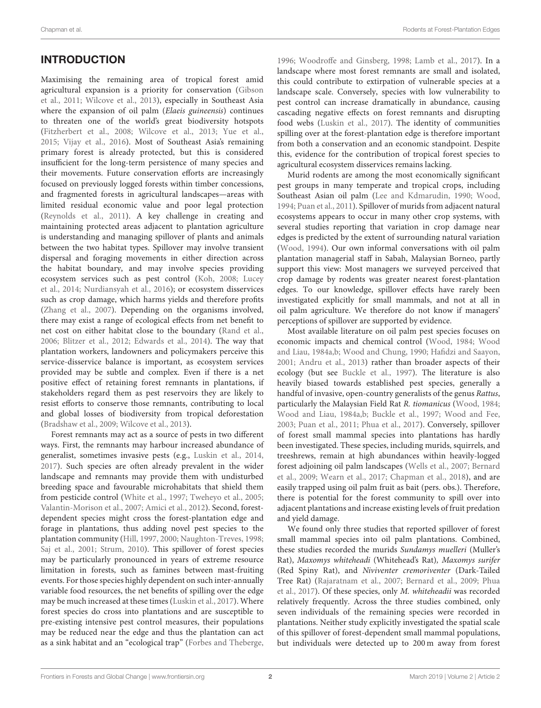# INTRODUCTION

Maximising the remaining area of tropical forest amid agricultural expansion is a priority for conservation (Gibson et al., [2011;](#page-10-0) [Wilcove et al., 2013\)](#page-11-0), especially in Southeast Asia where the expansion of oil palm (Elaeis guineensis) continues to threaten one of the world's great biodiversity hotspots [\(Fitzherbert et al., 2008;](#page-10-1) [Wilcove et al., 2013;](#page-11-0) [Yue et al.,](#page-11-1) [2015;](#page-11-1) [Vijay et al., 2016\)](#page-11-2). Most of Southeast Asia's remaining primary forest is already protected, but this is considered insufficient for the long-term persistence of many species and their movements. Future conservation efforts are increasingly focused on previously logged forests within timber concessions, and fragmented forests in agricultural landscapes—areas with limited residual economic value and poor legal protection [\(Reynolds et al., 2011\)](#page-11-3). A key challenge in creating and maintaining protected areas adjacent to plantation agriculture is understanding and managing spillover of plants and animals between the two habitat types. Spillover may involve transient dispersal and foraging movements in either direction across the habitat boundary, and may involve species providing ecosystem services such as pest control [\(Koh, 2008;](#page-10-2) Lucey et al., [2014;](#page-10-3) [Nurdiansyah et al., 2016\)](#page-10-4); or ecosystem disservices such as crop damage, which harms yields and therefore profits [\(Zhang et al., 2007\)](#page-11-4). Depending on the organisms involved, there may exist a range of ecological effects from net benefit to net cost on either habitat close to the boundary [\(Rand et al.,](#page-11-5) [2006;](#page-11-5) [Blitzer et al., 2012;](#page-10-5) [Edwards et al., 2014\)](#page-10-6). The way that plantation workers, landowners and policymakers perceive this service-disservice balance is important, as ecosystem services provided may be subtle and complex. Even if there is a net positive effect of retaining forest remnants in plantations, if stakeholders regard them as pest reservoirs they are likely to resist efforts to conserve those remnants, contributing to local and global losses of biodiversity from tropical deforestation [\(Bradshaw et al., 2009;](#page-10-7) [Wilcove et al., 2013\)](#page-11-0).

Forest remnants may act as a source of pests in two different ways. First, the remnants may harbour increased abundance of generalist, sometimes invasive pests (e.g., [Luskin et al., 2014,](#page-10-8) [2017\)](#page-10-9). Such species are often already prevalent in the wider landscape and remnants may provide them with undisturbed breeding space and favourable microhabitats that shield them from pesticide control [\(White et al., 1997;](#page-11-6) [Tweheyo et al., 2005;](#page-11-7) [Valantin-Morison et al., 2007;](#page-11-8) [Amici et al., 2012\)](#page-10-10). Second, forestdependent species might cross the forest-plantation edge and forage in plantations, thus adding novel pest species to the plantation community [\(Hill, 1997,](#page-10-11) [2000;](#page-10-12) [Naughton-Treves, 1998;](#page-10-13) [Saj et al., 2001;](#page-11-9) [Strum, 2010\)](#page-11-10). This spillover of forest species may be particularly pronounced in years of extreme resource limitation in forests, such as famines between mast-fruiting events. For those species highly dependent on such inter-annually variable food resources, the net benefits of spilling over the edge may be much increased at these times [\(Luskin et al., 2017\)](#page-10-9). Where forest species do cross into plantations and are susceptible to pre-existing intensive pest control measures, their populations may be reduced near the edge and thus the plantation can act as a sink habitat and an "ecological trap" [\(Forbes and Theberge,](#page-10-14)

[1996;](#page-10-14) [Woodroffe and Ginsberg, 1998;](#page-11-11) [Lamb et al., 2017\)](#page-10-15). In a landscape where most forest remnants are small and isolated, this could contribute to extirpation of vulnerable species at a landscape scale. Conversely, species with low vulnerability to pest control can increase dramatically in abundance, causing cascading negative effects on forest remnants and disrupting food webs [\(Luskin et al., 2017\)](#page-10-9). The identity of communities spilling over at the forest-plantation edge is therefore important from both a conservation and an economic standpoint. Despite this, evidence for the contribution of tropical forest species to agricultural ecosystem disservices remains lacking.

Murid rodents are among the most economically significant pest groups in many temperate and tropical crops, including Southeast Asian oil palm [\(Lee and Kdmarudin, 1990;](#page-10-16) [Wood,](#page-11-12) [1994;](#page-11-12) [Puan et al., 2011\)](#page-11-13). Spillover of murids from adjacent natural ecosystems appears to occur in many other crop systems, with several studies reporting that variation in crop damage near edges is predicted by the extent of surrounding natural variation [\(Wood, 1994\)](#page-11-12). Our own informal conversations with oil palm plantation managerial staff in Sabah, Malaysian Borneo, partly support this view: Most managers we surveyed perceived that crop damage by rodents was greater nearest forest-plantation edges. To our knowledge, spillover effects have rarely been investigated explicitly for small mammals, and not at all in oil palm agriculture. We therefore do not know if managers' perceptions of spillover are supported by evidence.

Most available literature on oil palm pest species focuses on economic impacts and chemical control [\(Wood, 1984;](#page-11-14) Wood and Liau, [1984a,](#page-11-15)[b;](#page-11-16) [Wood and Chung, 1990;](#page-11-17) [Hafidzi and Saayon,](#page-10-17) [2001;](#page-10-17) [Andru et al., 2013\)](#page-10-18) rather than broader aspects of their ecology (but see [Buckle et al., 1997\)](#page-10-19). The literature is also heavily biased towards established pest species, generally a handful of invasive, open-country generalists of the genus Rattus, particularly the Malaysian Field Rat R. tiomanicus [\(Wood, 1984;](#page-11-14) [Wood and Liau, 1984a](#page-11-15)[,b;](#page-11-16) [Buckle et al., 1997;](#page-10-19) [Wood and Fee,](#page-11-18) [2003;](#page-11-18) [Puan et al., 2011;](#page-11-13) [Phua et al., 2017\)](#page-11-19). Conversely, spillover of forest small mammal species into plantations has hardly been investigated. These species, including murids, squirrels, and treeshrews, remain at high abundances within heavily-logged forest adjoining oil palm landscapes [\(Wells et al., 2007;](#page-11-20) Bernard et al., [2009;](#page-10-20) [Wearn et al., 2017;](#page-11-21) [Chapman et al., 2018\)](#page-10-21), and are easily trapped using oil palm fruit as bait (pers. obs.). Therefore, there is potential for the forest community to spill over into adjacent plantations and increase existing levels of fruit predation and yield damage.

We found only three studies that reported spillover of forest small mammal species into oil palm plantations. Combined, these studies recorded the murids Sundamys muelleri (Muller's Rat), Maxomys whiteheadi (Whitehead's Rat), Maxomys surifer (Red Spiny Rat), and Niviventer cremoriventer (Dark-Tailed Tree Rat) [\(Rajaratnam et al., 2007;](#page-11-22) [Bernard et al., 2009;](#page-10-20) Phua et al., [2017\)](#page-11-19). Of these species, only M. whiteheadii was recorded relatively frequently. Across the three studies combined, only seven individuals of the remaining species were recorded in plantations. Neither study explicitly investigated the spatial scale of this spillover of forest-dependent small mammal populations, but individuals were detected up to 200 m away from forest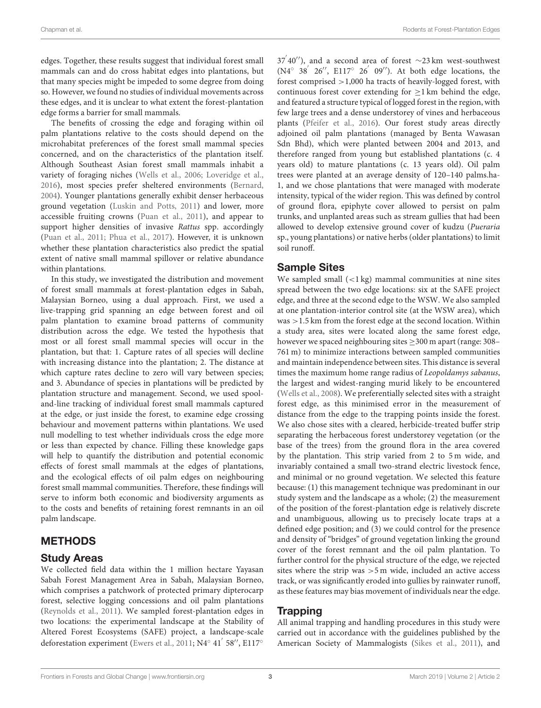edges. Together, these results suggest that individual forest small mammals can and do cross habitat edges into plantations, but that many species might be impeded to some degree from doing so. However, we found no studies of individual movements across these edges, and it is unclear to what extent the forest-plantation edge forms a barrier for small mammals.

The benefits of crossing the edge and foraging within oil palm plantations relative to the costs should depend on the microhabitat preferences of the forest small mammal species concerned, and on the characteristics of the plantation itself. Although Southeast Asian forest small mammals inhabit a variety of foraging niches [\(Wells et al., 2006;](#page-11-23) [Loveridge et al.,](#page-10-22) [2016\)](#page-10-22), most species prefer sheltered environments [\(Bernard,](#page-10-23) [2004\)](#page-10-23). Younger plantations generally exhibit denser herbaceous ground vegetation [\(Luskin and Potts, 2011\)](#page-10-24) and lower, more accessible fruiting crowns [\(Puan et al., 2011\)](#page-11-13), and appear to support higher densities of invasive Rattus spp. accordingly [\(Puan et al., 2011;](#page-11-13) [Phua et al., 2017\)](#page-11-19). However, it is unknown whether these plantation characteristics also predict the spatial extent of native small mammal spillover or relative abundance within plantations.

In this study, we investigated the distribution and movement of forest small mammals at forest-plantation edges in Sabah, Malaysian Borneo, using a dual approach. First, we used a live-trapping grid spanning an edge between forest and oil palm plantation to examine broad patterns of community distribution across the edge. We tested the hypothesis that most or all forest small mammal species will occur in the plantation, but that: 1. Capture rates of all species will decline with increasing distance into the plantation; 2. The distance at which capture rates decline to zero will vary between species; and 3. Abundance of species in plantations will be predicted by plantation structure and management. Second, we used spooland-line tracking of individual forest small mammals captured at the edge, or just inside the forest, to examine edge crossing behaviour and movement patterns within plantations. We used null modelling to test whether individuals cross the edge more or less than expected by chance. Filling these knowledge gaps will help to quantify the distribution and potential economic effects of forest small mammals at the edges of plantations, and the ecological effects of oil palm edges on neighbouring forest small mammal communities. Therefore, these findings will serve to inform both economic and biodiversity arguments as to the costs and benefits of retaining forest remnants in an oil palm landscape.

# METHODS

#### Study Areas

We collected field data within the 1 million hectare Yayasan Sabah Forest Management Area in Sabah, Malaysian Borneo, which comprises a patchwork of protected primary dipterocarp forest, selective logging concessions and oil palm plantations [\(Reynolds et al., 2011\)](#page-11-3). We sampled forest-plantation edges in two locations: the experimental landscape at the Stability of Altered Forest Ecosystems (SAFE) project, a landscape-scale deforestation experiment [\(Ewers et al., 2011;](#page-10-25) N4° 41<sup>'</sup> 58", E117°

37 ′ 40′′), and a second area of forest ∼23 km west-southwest (N4◦ 38 ′ 26′′, E117◦ 26′ 09′′). At both edge locations, the forest comprised >1,000 ha tracts of heavily-logged forest, with continuous forest cover extending for  $\geq$ 1 km behind the edge, and featured a structure typical of logged forest in the region, with few large trees and a dense understorey of vines and herbaceous plants [\(Pfeifer et al., 2016\)](#page-11-24). Our forest study areas directly adjoined oil palm plantations (managed by Benta Wawasan Sdn Bhd), which were planted between 2004 and 2013, and therefore ranged from young but established plantations (c. 4 years old) to mature plantations (c. 13 years old). Oil palm trees were planted at an average density of 120–140 palms.ha-1, and we chose plantations that were managed with moderate intensity, typical of the wider region. This was defined by control of ground flora, epiphyte cover allowed to persist on palm trunks, and unplanted areas such as stream gullies that had been allowed to develop extensive ground cover of kudzu (Pueraria sp., young plantations) or native herbs (older plantations) to limit soil runoff.

#### Sample Sites

We sampled small  $(< 1 \text{ kg})$  mammal communities at nine sites spread between the two edge locations: six at the SAFE project edge, and three at the second edge to the WSW. We also sampled at one plantation-interior control site (at the WSW area), which was >1.5 km from the forest edge at the second location. Within a study area, sites were located along the same forest edge, however we spaced neighbouring sites > 300 m apart (range: 308– 761 m) to minimize interactions between sampled communities and maintain independence between sites. This distance is several times the maximum home range radius of Leopoldamys sabanus, the largest and widest-ranging murid likely to be encountered [\(Wells et al., 2008\)](#page-11-25). We preferentially selected sites with a straight forest edge, as this minimised error in the measurement of distance from the edge to the trapping points inside the forest. We also chose sites with a cleared, herbicide-treated buffer strip separating the herbaceous forest understorey vegetation (or the base of the trees) from the ground flora in the area covered by the plantation. This strip varied from 2 to 5 m wide, and invariably contained a small two-strand electric livestock fence, and minimal or no ground vegetation. We selected this feature because: (1) this management technique was predominant in our study system and the landscape as a whole; (2) the measurement of the position of the forest-plantation edge is relatively discrete and unambiguous, allowing us to precisely locate traps at a defined edge position; and (3) we could control for the presence and density of "bridges" of ground vegetation linking the ground cover of the forest remnant and the oil palm plantation. To further control for the physical structure of the edge, we rejected sites where the strip was >5 m wide, included an active access track, or was significantly eroded into gullies by rainwater runoff, as these features may bias movement of individuals near the edge.

#### **Trapping**

All animal trapping and handling procedures in this study were carried out in accordance with the guidelines published by the American Society of Mammalogists [\(Sikes et al., 2011\)](#page-11-26), and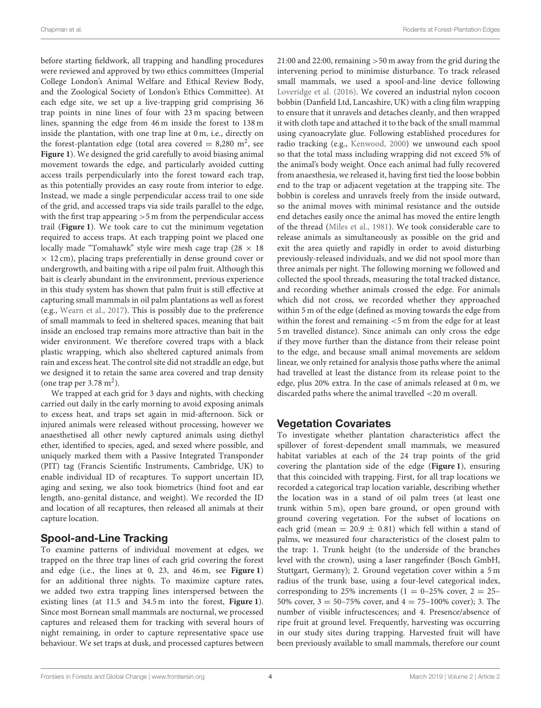Chapman et al. Rodents at Forest-Plantation Edges

before starting fieldwork, all trapping and handling procedures were reviewed and approved by two ethics committees (Imperial College London's Animal Welfare and Ethical Review Body, and the Zoological Society of London's Ethics Committee). At each edge site, we set up a live-trapping grid comprising 36 trap points in nine lines of four with 23 m spacing between lines, spanning the edge from 46 m inside the forest to 138 m inside the plantation, with one trap line at 0 m, i.e., directly on the forest-plantation edge (total area covered  $= 8,280 \text{ m}^2$ , see **[Figure 1](#page-4-0)**). We designed the grid carefully to avoid biasing animal movement towards the edge, and particularly avoided cutting access trails perpendicularly into the forest toward each trap, as this potentially provides an easy route from interior to edge. Instead, we made a single perpendicular access trail to one side of the grid, and accessed traps via side trails parallel to the edge, with the first trap appearing >5 m from the perpendicular access trail (**[Figure 1](#page-4-0)**). We took care to cut the minimum vegetation required to access traps. At each trapping point we placed one locally made "Tomahawk" style wire mesh cage trap (28  $\times$  18 × 12 cm), placing traps preferentially in dense ground cover or undergrowth, and baiting with a ripe oil palm fruit. Although this bait is clearly abundant in the environment, previous experience in this study system has shown that palm fruit is still effective at capturing small mammals in oil palm plantations as well as forest (e.g., [Wearn et al., 2017\)](#page-11-21). This is possibly due to the preference of small mammals to feed in sheltered spaces, meaning that bait inside an enclosed trap remains more attractive than bait in the wider environment. We therefore covered traps with a black plastic wrapping, which also sheltered captured animals from rain and excess heat. The control site did not straddle an edge, but we designed it to retain the same area covered and trap density (one trap per  $3.78 \text{ m}^2$ ).

We trapped at each grid for 3 days and nights, with checking carried out daily in the early morning to avoid exposing animals to excess heat, and traps set again in mid-afternoon. Sick or injured animals were released without processing, however we anaesthetised all other newly captured animals using diethyl ether, identified to species, aged, and sexed where possible, and uniquely marked them with a Passive Integrated Transponder (PIT) tag (Francis Scientific Instruments, Cambridge, UK) to enable individual ID of recaptures. To support uncertain ID, aging and sexing, we also took biometrics (hind foot and ear length, ano-genital distance, and weight). We recorded the ID and location of all recaptures, then released all animals at their capture location.

### Spool-and-Line Tracking

To examine patterns of individual movement at edges, we trapped on the three trap lines of each grid covering the forest and edge (i.e., the lines at 0, 23, and 46 m, see **[Figure 1](#page-4-0)**) for an additional three nights. To maximize capture rates, we added two extra trapping lines interspersed between the existing lines (at 11.5 and 34.5 m into the forest, **[Figure 1](#page-4-0)**). Since most Bornean small mammals are nocturnal, we processed captures and released them for tracking with several hours of night remaining, in order to capture representative space use behaviour. We set traps at dusk, and processed captures between 21:00 and 22:00, remaining >50 m away from the grid during the intervening period to minimise disturbance. To track released small mammals, we used a spool-and-line device following [Loveridge et al. \(2016\)](#page-10-22). We covered an industrial nylon cocoon bobbin (Danfield Ltd, Lancashire, UK) with a cling film wrapping to ensure that it unravels and detaches cleanly, and then wrapped it with cloth tape and attached it to the back of the small mammal using cyanoacrylate glue. Following established procedures for radio tracking (e.g., [Kenwood, 2000\)](#page-10-26) we unwound each spool so that the total mass including wrapping did not exceed 5% of the animal's body weight. Once each animal had fully recovered from anaesthesia, we released it, having first tied the loose bobbin end to the trap or adjacent vegetation at the trapping site. The bobbin is coreless and unravels freely from the inside outward, so the animal moves with minimal resistance and the outside end detaches easily once the animal has moved the entire length of the thread [\(Miles et al., 1981\)](#page-10-27). We took considerable care to release animals as simultaneously as possible on the grid and exit the area quietly and rapidly in order to avoid disturbing previously-released individuals, and we did not spool more than three animals per night. The following morning we followed and collected the spool threads, measuring the total tracked distance, and recording whether animals crossed the edge. For animals which did not cross, we recorded whether they approached within 5 m of the edge (defined as moving towards the edge from within the forest and remaining <5 m from the edge for at least 5 m travelled distance). Since animals can only cross the edge if they move further than the distance from their release point to the edge, and because small animal movements are seldom linear, we only retained for analysis those paths where the animal had travelled at least the distance from its release point to the edge, plus 20% extra. In the case of animals released at 0 m, we discarded paths where the animal travelled <20 m overall.

### Vegetation Covariates

To investigate whether plantation characteristics affect the spillover of forest-dependent small mammals, we measured habitat variables at each of the 24 trap points of the grid covering the plantation side of the edge (**[Figure 1](#page-4-0)**), ensuring that this coincided with trapping. First, for all trap locations we recorded a categorical trap location variable, describing whether the location was in a stand of oil palm trees (at least one trunk within 5 m), open bare ground, or open ground with ground covering vegetation. For the subset of locations on each grid (mean =  $20.9 \pm 0.81$ ) which fell within a stand of palms, we measured four characteristics of the closest palm to the trap: 1. Trunk height (to the underside of the branches level with the crown), using a laser rangefinder (Bosch GmbH, Stuttgart, Germany); 2. Ground vegetation cover within a 5 m radius of the trunk base, using a four-level categorical index, corresponding to 25% increments  $(1 = 0-25\%$  cover,  $2 = 25-$ 50% cover,  $3 = 50-75$ % cover, and  $4 = 75-100$ % cover); 3. The number of visible infructescences; and 4. Presence/absence of ripe fruit at ground level. Frequently, harvesting was occurring in our study sites during trapping. Harvested fruit will have been previously available to small mammals, therefore our count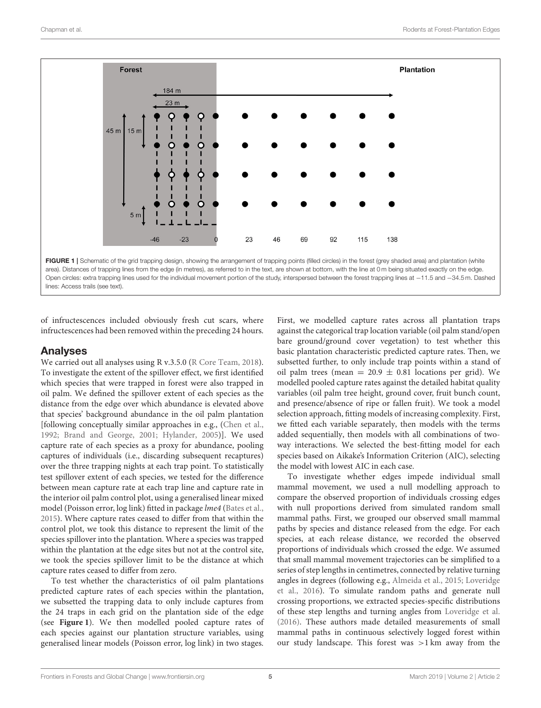

<span id="page-4-0"></span>

of infructescences included obviously fresh cut scars, where infructescences had been removed within the preceding 24 hours.

#### Analyses

We carried out all analyses using R v.3.5.0 [\(R Core Team, 2018\)](#page-11-27). To investigate the extent of the spillover effect, we first identified which species that were trapped in forest were also trapped in oil palm. We defined the spillover extent of each species as the distance from the edge over which abundance is elevated above that species' background abundance in the oil palm plantation [following conceptually similar approaches in e.g., [\(Chen et al.,](#page-10-28) [1992;](#page-10-28) [Brand and George, 2001;](#page-10-29) [Hylander, 2005\)](#page-10-30)]. We used capture rate of each species as a proxy for abundance, pooling captures of individuals (i.e., discarding subsequent recaptures) over the three trapping nights at each trap point. To statistically test spillover extent of each species, we tested for the difference between mean capture rate at each trap line and capture rate in the interior oil palm control plot, using a generalised linear mixed model (Poisson error, log link) fitted in package lme4 [\(Bates et al.,](#page-10-31) [2015\)](#page-10-31). Where capture rates ceased to differ from that within the control plot, we took this distance to represent the limit of the species spillover into the plantation. Where a species was trapped within the plantation at the edge sites but not at the control site, we took the species spillover limit to be the distance at which capture rates ceased to differ from zero.

To test whether the characteristics of oil palm plantations predicted capture rates of each species within the plantation, we subsetted the trapping data to only include captures from the 24 traps in each grid on the plantation side of the edge (see **[Figure 1](#page-4-0)**). We then modelled pooled capture rates of each species against our plantation structure variables, using generalised linear models (Poisson error, log link) in two stages. First, we modelled capture rates across all plantation traps against the categorical trap location variable (oil palm stand/open bare ground/ground cover vegetation) to test whether this basic plantation characteristic predicted capture rates. Then, we subsetted further, to only include trap points within a stand of oil palm trees (mean  $= 20.9 \pm 0.81$  locations per grid). We modelled pooled capture rates against the detailed habitat quality variables (oil palm tree height, ground cover, fruit bunch count, and presence/absence of ripe or fallen fruit). We took a model selection approach, fitting models of increasing complexity. First, we fitted each variable separately, then models with the terms added sequentially, then models with all combinations of twoway interactions. We selected the best-fitting model for each species based on Aikake's Information Criterion (AIC), selecting the model with lowest AIC in each case.

To investigate whether edges impede individual small mammal movement, we used a null modelling approach to compare the observed proportion of individuals crossing edges with null proportions derived from simulated random small mammal paths. First, we grouped our observed small mammal paths by species and distance released from the edge. For each species, at each release distance, we recorded the observed proportions of individuals which crossed the edge. We assumed that small mammal movement trajectories can be simplified to a series of step lengths in centimetres, connected by relative turning angles in degrees (following e.g., [Almeida et al., 2015;](#page-10-32) Loveridge et al., [2016\)](#page-10-22). To simulate random paths and generate null crossing proportions, we extracted species-specific distributions of these step lengths and turning angles from [Loveridge et al.](#page-10-22) [\(2016\)](#page-10-22). These authors made detailed measurements of small mammal paths in continuous selectively logged forest within our study landscape. This forest was >1 km away from the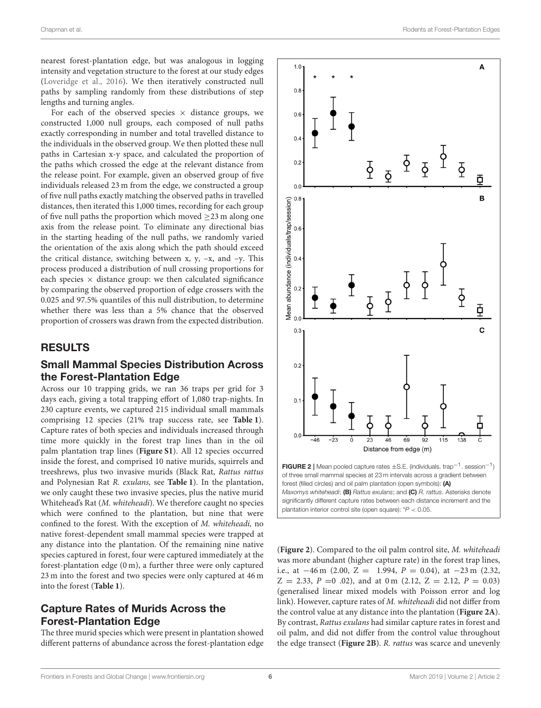nearest forest-plantation edge, but was analogous in logging intensity and vegetation structure to the forest at our study edges [\(Loveridge et al., 2016\)](#page-10-22). We then iteratively constructed null paths by sampling randomly from these distributions of step lengths and turning angles.

For each of the observed species  $\times$  distance groups, we constructed 1,000 null groups, each composed of null paths exactly corresponding in number and total travelled distance to the individuals in the observed group. We then plotted these null paths in Cartesian x-y space, and calculated the proportion of the paths which crossed the edge at the relevant distance from the release point. For example, given an observed group of five individuals released 23 m from the edge, we constructed a group of five null paths exactly matching the observed paths in travelled distances, then iterated this 1,000 times, recording for each group of five null paths the proportion which moved  $\geq$ 23 m along one axis from the release point. To eliminate any directional bias in the starting heading of the null paths, we randomly varied the orientation of the axis along which the path should exceed the critical distance, switching between x,  $y$ ,  $-x$ , and  $-y$ . This process produced a distribution of null crossing proportions for each species  $\times$  distance group: we then calculated significance by comparing the observed proportion of edge crossers with the 0.025 and 97.5% quantiles of this null distribution, to determine whether there was less than a 5% chance that the observed proportion of crossers was drawn from the expected distribution.

### RESULTS

#### Small Mammal Species Distribution Across the Forest-Plantation Edge

Across our 10 trapping grids, we ran 36 traps per grid for 3 days each, giving a total trapping effort of 1,080 trap-nights. In 230 capture events, we captured 215 individual small mammals comprising 12 species (21% trap success rate, see **[Table 1](#page-6-0)**). Capture rates of both species and individuals increased through time more quickly in the forest trap lines than in the oil palm plantation trap lines (**[Figure S1](#page-9-0)**). All 12 species occurred inside the forest, and comprised 10 native murids, squirrels and treeshrews, plus two invasive murids (Black Rat, Rattus rattus and Polynesian Rat R. exulans, see **[Table 1](#page-6-0)**). In the plantation, we only caught these two invasive species, plus the native murid Whitehead's Rat (M. whiteheadi). We therefore caught no species which were confined to the plantation, but nine that were confined to the forest. With the exception of M. whiteheadi, no native forest-dependent small mammal species were trapped at any distance into the plantation. Of the remaining nine native species captured in forest, four were captured immediately at the forest-plantation edge (0 m), a further three were only captured 23 m into the forest and two species were only captured at 46 m into the forest (**[Table 1](#page-6-0)**).

### Capture Rates of Murids Across the Forest-Plantation Edge

The three murid species which were present in plantation showed different patterns of abundance across the forest-plantation edge



<span id="page-5-0"></span>(**[Figure 2](#page-5-0)**). Compared to the oil palm control site, M. whiteheadi was more abundant (higher capture rate) in the forest trap lines, i.e., at  $-46$  m (2.00, Z = 1.994, P = 0.04), at  $-23$  m (2.32,  $Z = 2.33, P = 0.02$ , and at 0 m (2.12,  $Z = 2.12, P = 0.03$ ) (generalised linear mixed models with Poisson error and log link). However, capture rates of M. whiteheadi did not differ from the control value at any distance into the plantation (**[Figure 2A](#page-5-0)**). By contrast, Rattus exulans had similar capture rates in forest and oil palm, and did not differ from the control value throughout the edge transect (**[Figure 2B](#page-5-0)**). R. rattus was scarce and unevenly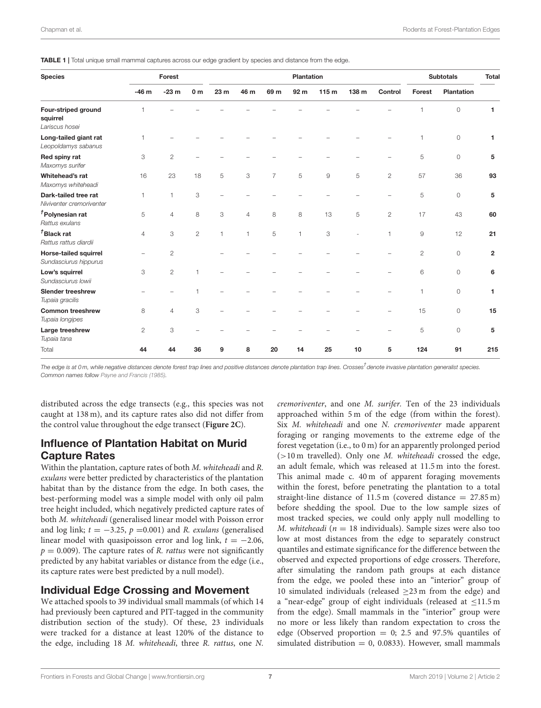<span id="page-6-0"></span>TABLE 1 | Total unique small mammal captures across our edge gradient by species and distance from the edge.

| <b>Species</b>                                        | Forest         |                |                | <b>Plantation</b> |                |                |      |                        |       |              | <b>Subtotals</b> |            | <b>Total</b>   |
|-------------------------------------------------------|----------------|----------------|----------------|-------------------|----------------|----------------|------|------------------------|-------|--------------|------------------|------------|----------------|
|                                                       | $-46m$         | $-23m$         | 0 <sub>m</sub> | 23 m              | 46 m           | 69 m           | 92 m | 115 m                  | 138 m | Control      | Forest           | Plantation |                |
| Four-striped ground<br>squirrel<br>Lariscus hosei     | 1              |                |                |                   |                |                |      |                        |       |              | 1                | $\circ$    | 1.             |
| Long-tailed giant rat<br>Leopoldamys sabanus          | 1              |                |                |                   |                |                |      |                        |       |              | 1                | $\circ$    | 1              |
| Red spiny rat<br>Maxomys surifer                      | 3              | $\overline{2}$ |                |                   |                |                |      |                        |       |              | 5                | 0          | 5              |
| Whitehead's rat<br>Maxomys whiteheadi                 | 16             | 23             | 18             | 5                 | 3              | $\overline{7}$ | 5    | $\mathrel{\mathsf{g}}$ | 5     | $\mathbf{2}$ | 57               | 36         | 93             |
| Dark-tailed tree rat<br>Niviventer cremoriventer      | 1              | 1              | 3              |                   |                |                |      |                        |       |              | 5                | 0          | 5              |
| <sup>†</sup> Polynesian rat<br>Rattus exulans         | 5              | $\overline{4}$ | 8              | 3                 | $\overline{4}$ | 8              | 8    | 13                     | 5     | $\mathbf{2}$ | 17               | 43         | 60             |
| $t$ Black rat<br>Rattus rattus diardii                | $\overline{4}$ | 3              | $\overline{c}$ | $\mathbf{1}$      | $\mathbf{1}$   | 5              | 1    | 3                      |       | 1            | 9                | 12         | 21             |
| <b>Horse-tailed squirrel</b><br>Sundasciurus hippurus | ۰              | $\overline{2}$ |                |                   |                |                |      |                        |       |              | $\overline{2}$   | $\circ$    | $\overline{2}$ |
| Low's squirrel<br>Sundasciurus Iowii                  | 3              | $\overline{2}$ |                |                   |                |                |      |                        |       |              | 6                | $\circ$    | 6              |
| <b>Slender treeshrew</b><br>Tupaia gracilis           |                |                |                |                   |                |                |      |                        |       |              | 1                | $\circ$    | 1              |
| <b>Common treeshrew</b><br>Tupaia longipes            | 8              | 4              | 3              |                   |                |                |      |                        |       |              | 15               | 0          | 15             |
| Large treeshrew<br>Tupaia tana                        | $\overline{2}$ | 3              |                |                   |                |                |      |                        |       |              | 5                | $\circ$    | 5              |
| Total                                                 | 44             | 44             | 36             | 9                 | 8              | 20             | 14   | 25                     | 10    | 5            | 124              | 91         | 215            |

*The edge is at 0 m, while negative distances denote forest trap lines and positive distances denote plantation trap lines. Crosses† denote invasive plantation generalist species. Common names follow [Payne and Francis \(1985\)](#page-11-28).*

distributed across the edge transects (e.g., this species was not caught at 138 m), and its capture rates also did not differ from the control value throughout the edge transect (**[Figure 2C](#page-5-0)**).

### Influence of Plantation Habitat on Murid Capture Rates

Within the plantation, capture rates of both M. whiteheadi and R. exulans were better predicted by characteristics of the plantation habitat than by the distance from the edge. In both cases, the best-performing model was a simple model with only oil palm tree height included, which negatively predicted capture rates of both M. whiteheadi (generalised linear model with Poisson error and log link;  $t = -3.25$ ,  $p = 0.001$ ) and R. exulans (generalised linear model with quasipoisson error and log link,  $t = -2.06$ ,  $p = 0.009$ ). The capture rates of R. *rattus* were not significantly predicted by any habitat variables or distance from the edge (i.e., its capture rates were best predicted by a null model).

#### Individual Edge Crossing and Movement

We attached spools to 39 individual small mammals (of which 14 had previously been captured and PIT-tagged in the community distribution section of the study). Of these, 23 individuals were tracked for a distance at least 120% of the distance to the edge, including 18 M. whiteheadi, three R. rattus, one N.

cremoriventer, and one M. surifer. Ten of the 23 individuals approached within 5 m of the edge (from within the forest). Six M. whiteheadi and one N. cremoriventer made apparent foraging or ranging movements to the extreme edge of the forest vegetation (i.e., to 0 m) for an apparently prolonged period (>10 m travelled). Only one M. whiteheadi crossed the edge, an adult female, which was released at 11.5 m into the forest. This animal made c. 40 m of apparent foraging movements within the forest, before penetrating the plantation to a total straight-line distance of  $11.5 \text{ m}$  (covered distance =  $27.85 \text{ m}$ ) before shedding the spool. Due to the low sample sizes of most tracked species, we could only apply null modelling to M. whiteheadi ( $n = 18$  individuals). Sample sizes were also too low at most distances from the edge to separately construct quantiles and estimate significance for the difference between the observed and expected proportions of edge crossers. Therefore, after simulating the random path groups at each distance from the edge, we pooled these into an "interior" group of 10 simulated individuals (released  $\geq$ 23 m from the edge) and a "near-edge" group of eight individuals (released at ≤11.5 m from the edge). Small mammals in the "interior" group were no more or less likely than random expectation to cross the edge (Observed proportion  $= 0$ ; 2.5 and 97.5% quantiles of simulated distribution  $= 0$ , 0.0833). However, small mammals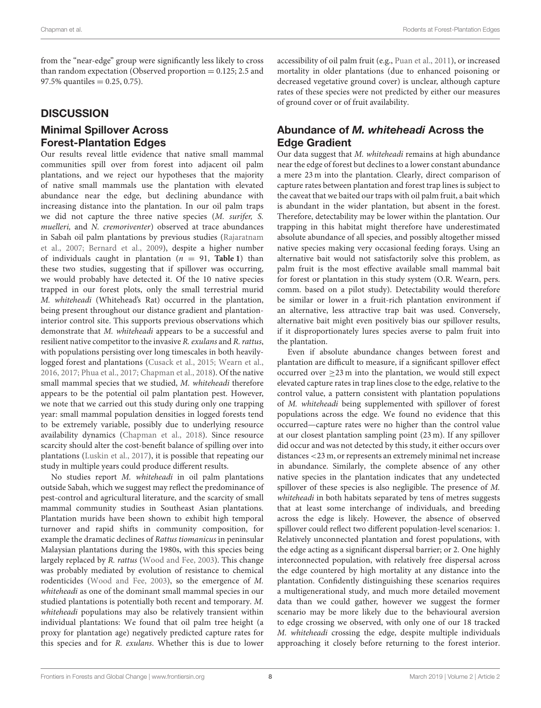from the "near-edge" group were significantly less likely to cross than random expectation (Observed proportion  $= 0.125; 2.5$  and 97.5% quantiles =  $0.25$ ,  $0.75$ ).

### **DISCUSSION**

# Minimal Spillover Across Forest-Plantation Edges

Our results reveal little evidence that native small mammal communities spill over from forest into adjacent oil palm plantations, and we reject our hypotheses that the majority of native small mammals use the plantation with elevated abundance near the edge, but declining abundance with increasing distance into the plantation. In our oil palm traps we did not capture the three native species (M. surifer, S. muelleri, and N. cremoriventer) observed at trace abundances in Sabah oil palm plantations by previous studies (Rajaratnam et al., [2007;](#page-11-22) [Bernard et al., 2009\)](#page-10-20), despite a higher number of individuals caught in plantation  $(n = 91,$  **[Table 1](#page-6-0)**) than these two studies, suggesting that if spillover was occurring, we would probably have detected it. Of the 10 native species trapped in our forest plots, only the small terrestrial murid M. whiteheadi (Whitehead's Rat) occurred in the plantation, being present throughout our distance gradient and plantationinterior control site. This supports previous observations which demonstrate that M. whiteheadi appears to be a successful and resilient native competitor to the invasive R. exulans and R. rattus, with populations persisting over long timescales in both heavilylogged forest and plantations [\(Cusack et al., 2015;](#page-10-33) [Wearn et al.,](#page-11-29) [2016,](#page-11-29) [2017;](#page-11-21) [Phua et al., 2017;](#page-11-19) [Chapman et al., 2018\)](#page-10-21). Of the native small mammal species that we studied, M. whiteheadi therefore appears to be the potential oil palm plantation pest. However, we note that we carried out this study during only one trapping year: small mammal population densities in logged forests tend to be extremely variable, possibly due to underlying resource availability dynamics [\(Chapman et al., 2018\)](#page-10-21). Since resource scarcity should alter the cost-benefit balance of spilling over into plantations [\(Luskin et al., 2017\)](#page-10-9), it is possible that repeating our study in multiple years could produce different results.

No studies report M. whiteheadi in oil palm plantations outside Sabah, which we suggest may reflect the predominance of pest-control and agricultural literature, and the scarcity of small mammal community studies in Southeast Asian plantations. Plantation murids have been shown to exhibit high temporal turnover and rapid shifts in community composition, for example the dramatic declines of Rattus tiomanicus in peninsular Malaysian plantations during the 1980s, with this species being largely replaced by R. rattus [\(Wood and Fee, 2003\)](#page-11-18). This change was probably mediated by evolution of resistance to chemical rodenticides [\(Wood and Fee, 2003\)](#page-11-18), so the emergence of M. whiteheadi as one of the dominant small mammal species in our studied plantations is potentially both recent and temporary. M. whiteheadi populations may also be relatively transient within individual plantations: We found that oil palm tree height (a proxy for plantation age) negatively predicted capture rates for this species and for R. exulans. Whether this is due to lower accessibility of oil palm fruit (e.g., [Puan et al., 2011\)](#page-11-13), or increased mortality in older plantations (due to enhanced poisoning or decreased vegetative ground cover) is unclear, although capture rates of these species were not predicted by either our measures of ground cover or of fruit availability.

### Abundance of *M. whiteheadi* Across the Edge Gradient

Our data suggest that M. whiteheadi remains at high abundance near the edge of forest but declines to a lower constant abundance a mere 23 m into the plantation. Clearly, direct comparison of capture rates between plantation and forest trap lines is subject to the caveat that we baited our traps with oil palm fruit, a bait which is abundant in the wider plantation, but absent in the forest. Therefore, detectability may be lower within the plantation. Our trapping in this habitat might therefore have underestimated absolute abundance of all species, and possibly altogether missed native species making very occasional feeding forays. Using an alternative bait would not satisfactorily solve this problem, as palm fruit is the most effective available small mammal bait for forest or plantation in this study system (O.R. Wearn, pers. comm. based on a pilot study). Detectability would therefore be similar or lower in a fruit-rich plantation environment if an alternative, less attractive trap bait was used. Conversely, alternative bait might even positively bias our spillover results, if it disproportionately lures species averse to palm fruit into the plantation.

Even if absolute abundance changes between forest and plantation are difficult to measure, if a significant spillover effect occurred over ≥23 m into the plantation, we would still expect elevated capture rates in trap lines close to the edge, relative to the control value, a pattern consistent with plantation populations of M. whiteheadi being supplemented with spillover of forest populations across the edge. We found no evidence that this occurred—capture rates were no higher than the control value at our closest plantation sampling point (23 m). If any spillover did occur and was not detected by this study, it either occurs over distances <23 m, or represents an extremely minimal net increase in abundance. Similarly, the complete absence of any other native species in the plantation indicates that any undetected spillover of these species is also negligible. The presence of M. whiteheadi in both habitats separated by tens of metres suggests that at least some interchange of individuals, and breeding across the edge is likely. However, the absence of observed spillover could reflect two different population-level scenarios: 1. Relatively unconnected plantation and forest populations, with the edge acting as a significant dispersal barrier; or 2. One highly interconnected population, with relatively free dispersal across the edge countered by high mortality at any distance into the plantation. Confidently distinguishing these scenarios requires a multigenerational study, and much more detailed movement data than we could gather, however we suggest the former scenario may be more likely due to the behavioural aversion to edge crossing we observed, with only one of our 18 tracked M. whiteheadi crossing the edge, despite multiple individuals approaching it closely before returning to the forest interior.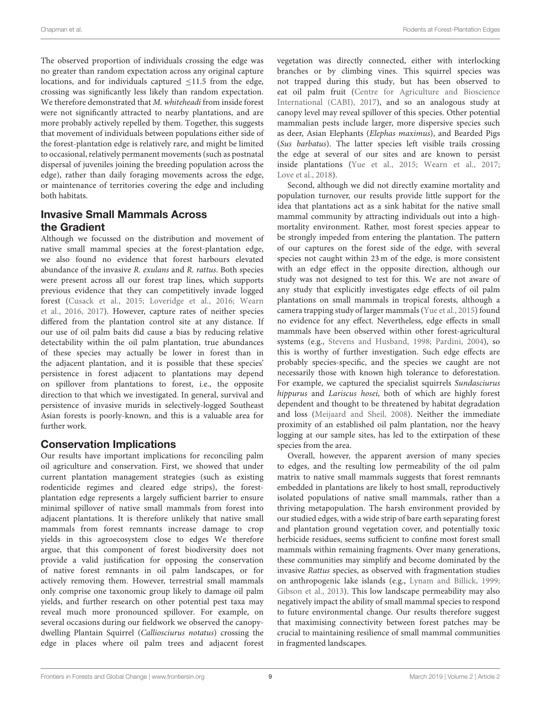The observed proportion of individuals crossing the edge was no greater than random expectation across any original capture locations, and for individuals captured ≤11.5 from the edge, crossing was significantly less likely than random expectation. We therefore demonstrated that M. whiteheadi from inside forest were not significantly attracted to nearby plantations, and are more probably actively repelled by them. Together, this suggests that movement of individuals between populations either side of the forest-plantation edge is relatively rare, and might be limited to occasional, relatively permanent movements (such as postnatal dispersal of juveniles joining the breeding population across the edge), rather than daily foraging movements across the edge, or maintenance of territories covering the edge and including both habitats.

#### Invasive Small Mammals Across the Gradient

Although we focussed on the distribution and movement of native small mammal species at the forest-plantation edge, we also found no evidence that forest harbours elevated abundance of the invasive R. exulans and R. rattus. Both species were present across all our forest trap lines, which supports previous evidence that they can competitively invade logged forest [\(Cusack et al., 2015;](#page-10-33) [Loveridge et al., 2016;](#page-10-22) Wearn et al., [2016,](#page-11-29) [2017\)](#page-11-21). However, capture rates of neither species differed from the plantation control site at any distance. If our use of oil palm baits did cause a bias by reducing relative detectability within the oil palm plantation, true abundances of these species may actually be lower in forest than in the adjacent plantation, and it is possible that these species' persistence in forest adjacent to plantations may depend on spillover from plantations to forest, i.e., the opposite direction to that which we investigated. In general, survival and persistence of invasive murids in selectively-logged Southeast Asian forests is poorly-known, and this is a valuable area for further work.

#### Conservation Implications

Our results have important implications for reconciling palm oil agriculture and conservation. First, we showed that under current plantation management strategies (such as existing rodenticide regimes and cleared edge strips), the forestplantation edge represents a largely sufficient barrier to ensure minimal spillover of native small mammals from forest into adjacent plantations. It is therefore unlikely that native small mammals from forest remnants increase damage to crop yields in this agroecosystem close to edges We therefore argue, that this component of forest biodiversity does not provide a valid justification for opposing the conservation of native forest remnants in oil palm landscapes, or for actively removing them. However, terrestrial small mammals only comprise one taxonomic group likely to damage oil palm yields, and further research on other potential pest taxa may reveal much more pronounced spillover. For example, on several occasions during our fieldwork we observed the canopydwelling Plantain Squirrel (Calliosciurus notatus) crossing the edge in places where oil palm trees and adjacent forest vegetation was directly connected, either with interlocking branches or by climbing vines. This squirrel species was not trapped during this study, but has been observed to eat oil palm fruit (Centre for Agriculture and Bioscience International (CABI), [2017\)](#page-10-34), and so an analogous study at canopy level may reveal spillover of this species. Other potential mammalian pests include larger, more dispersive species such as deer, Asian Elephants (Elephas maximus), and Bearded Pigs (Sus barbatus). The latter species left visible trails crossing the edge at several of our sites and are known to persist inside plantations [\(Yue et al., 2015;](#page-11-1) [Wearn et al., 2017;](#page-11-21) [Love et al., 2018\)](#page-10-35).

Second, although we did not directly examine mortality and population turnover, our results provide little support for the idea that plantations act as a sink habitat for the native small mammal community by attracting individuals out into a highmortality environment. Rather, most forest species appear to be strongly impeded from entering the plantation. The pattern of our captures on the forest side of the edge, with several species not caught within 23 m of the edge, is more consistent with an edge effect in the opposite direction, although our study was not designed to test for this. We are not aware of any study that explicitly investigates edge effects of oil palm plantations on small mammals in tropical forests, although a camera trapping study of larger mammals [\(Yue et al., 2015\)](#page-11-1) found no evidence for any effect. Nevertheless, edge effects in small mammals have been observed within other forest-agricultural systems (e.g., [Stevens and Husband, 1998;](#page-11-30) [Pardini, 2004\)](#page-11-31), so this is worthy of further investigation. Such edge effects are probably species-specific, and the species we caught are not necessarily those with known high tolerance to deforestation. For example, we captured the specialist squirrels Sundasciurus hippurus and Lariscus hosei, both of which are highly forest dependent and thought to be threatened by habitat degradation and loss [\(Meijaard and Sheil, 2008\)](#page-10-36). Neither the immediate proximity of an established oil palm plantation, nor the heavy logging at our sample sites, has led to the extirpation of these species from the area.

Overall, however, the apparent aversion of many species to edges, and the resulting low permeability of the oil palm matrix to native small mammals suggests that forest remnants embedded in plantations are likely to host small, reproductively isolated populations of native small mammals, rather than a thriving metapopulation. The harsh environment provided by our studied edges, with a wide strip of bare earth separating forest and plantation ground vegetation cover, and potentially toxic herbicide residues, seems sufficient to confine most forest small mammals within remaining fragments. Over many generations, these communities may simplify and become dominated by the invasive Rattus species, as observed with fragmentation studies on anthropogenic lake islands (e.g., [Lynam and Billick, 1999;](#page-10-37) [Gibson et al., 2013\)](#page-10-38). This low landscape permeability may also negatively impact the ability of small mammal species to respond to future environmental change. Our results therefore suggest that maximising connectivity between forest patches may be crucial to maintaining resilience of small mammal communities in fragmented landscapes.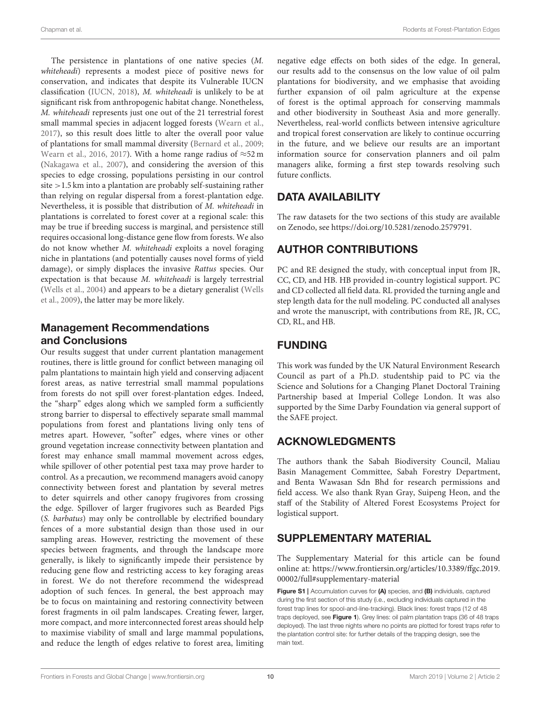The persistence in plantations of one native species (M. whiteheadi) represents a modest piece of positive news for conservation, and indicates that despite its Vulnerable IUCN classification [\(IUCN, 2018\)](#page-10-39), M. whiteheadi is unlikely to be at significant risk from anthropogenic habitat change. Nonetheless, M. whiteheadi represents just one out of the 21 terrestrial forest small mammal species in adjacent logged forests [\(Wearn et al.,](#page-11-21) [2017\)](#page-11-21), so this result does little to alter the overall poor value of plantations for small mammal diversity [\(Bernard et al., 2009;](#page-10-20) [Wearn et al., 2016,](#page-11-29) [2017\)](#page-11-21). With a home range radius of  $\approx$ 52 m [\(Nakagawa et al., 2007\)](#page-10-40), and considering the aversion of this species to edge crossing, populations persisting in our control site >1.5 km into a plantation are probably self-sustaining rather than relying on regular dispersal from a forest-plantation edge. Nevertheless, it is possible that distribution of M. whiteheadi in plantations is correlated to forest cover at a regional scale: this may be true if breeding success is marginal, and persistence still requires occasional long-distance gene flow from forests. We also do not know whether M. whiteheadi exploits a novel foraging niche in plantations (and potentially causes novel forms of yield damage), or simply displaces the invasive Rattus species. Our expectation is that because M. whiteheadi is largely terrestrial [\(Wells et al., 2004\)](#page-11-32) and appears to be a dietary generalist (Wells et al., [2009\)](#page-11-33), the latter may be more likely.

# Management Recommendations and Conclusions

Our results suggest that under current plantation management routines, there is little ground for conflict between managing oil palm plantations to maintain high yield and conserving adjacent forest areas, as native terrestrial small mammal populations from forests do not spill over forest-plantation edges. Indeed, the "sharp" edges along which we sampled form a sufficiently strong barrier to dispersal to effectively separate small mammal populations from forest and plantations living only tens of metres apart. However, "softer" edges, where vines or other ground vegetation increase connectivity between plantation and forest may enhance small mammal movement across edges, while spillover of other potential pest taxa may prove harder to control. As a precaution, we recommend managers avoid canopy connectivity between forest and plantation by several metres to deter squirrels and other canopy frugivores from crossing the edge. Spillover of larger frugivores such as Bearded Pigs (S. barbatus) may only be controllable by electrified boundary fences of a more substantial design than those used in our sampling areas. However, restricting the movement of these species between fragments, and through the landscape more generally, is likely to significantly impede their persistence by reducing gene flow and restricting access to key foraging areas in forest. We do not therefore recommend the widespread adoption of such fences. In general, the best approach may be to focus on maintaining and restoring connectivity between forest fragments in oil palm landscapes. Creating fewer, larger, more compact, and more interconnected forest areas should help to maximise viability of small and large mammal populations, and reduce the length of edges relative to forest area, limiting negative edge effects on both sides of the edge. In general, our results add to the consensus on the low value of oil palm plantations for biodiversity, and we emphasise that avoiding further expansion of oil palm agriculture at the expense of forest is the optimal approach for conserving mammals and other biodiversity in Southeast Asia and more generally. Nevertheless, real-world conflicts between intensive agriculture and tropical forest conservation are likely to continue occurring in the future, and we believe our results are an important information source for conservation planners and oil palm managers alike, forming a first step towards resolving such future conflicts.

# DATA AVAILABILITY

The raw datasets for the two sections of this study are available on Zenodo, see [https://doi.org/10.5281/zenodo.2579791.](https://doi.org/10.5281/zenodo.2579791)

# AUTHOR CONTRIBUTIONS

PC and RE designed the study, with conceptual input from JR, CC, CD, and HB. HB provided in-country logistical support. PC and CD collected all field data. RL provided the turning angle and step length data for the null modeling. PC conducted all analyses and wrote the manuscript, with contributions from RE, JR, CC, CD, RL, and HB.

# FUNDING

This work was funded by the UK Natural Environment Research Council as part of a Ph.D. studentship paid to PC via the Science and Solutions for a Changing Planet Doctoral Training Partnership based at Imperial College London. It was also supported by the Sime Darby Foundation via general support of the SAFE project.

# ACKNOWLEDGMENTS

The authors thank the Sabah Biodiversity Council, Maliau Basin Management Committee, Sabah Forestry Department, and Benta Wawasan Sdn Bhd for research permissions and field access. We also thank Ryan Gray, Suipeng Heon, and the staff of the Stability of Altered Forest Ecosystems Project for logistical support.

# SUPPLEMENTARY MATERIAL

<span id="page-9-0"></span>The Supplementary Material for this article can be found [online at: https://www.frontiersin.org/articles/10.3389/ffgc.2019.](https://www.frontiersin.org/articles/10.3389/ffgc.2019.00002/full#supplementary-material) 00002/full#supplementary-material

Figure S1 | Accumulation curves for (A) species, and (B) individuals, captured during the first section of this study (i.e., excluding individuals captured in the forest trap lines for spool-and-line-tracking). Black lines: forest traps (12 of 48 traps deployed, see [Figure 1](#page-4-0)). Grey lines: oil palm plantation traps (36 of 48 traps deployed). The last three nights where no points are plotted for forest traps refer to the plantation control site: for further details of the trapping design, see the main text.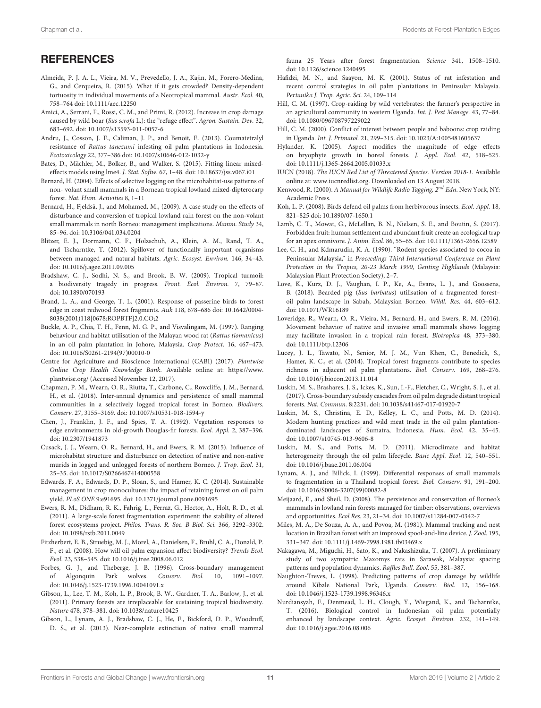### **REFERENCES**

- <span id="page-10-32"></span>Almeida, P. J. A. L., Vieira, M. V., Prevedello, J. A., Kajin, M., Forero-Medina, G., and Cerqueira, R. (2015). What if it gets crowded? Density-dependent tortuosity in individual movements of a Neotropical mammal. Austr. Ecol. 40, 758–764 doi: [10.1111/aec.12250](https://doi.org/10.1111/aec.12250)
- <span id="page-10-10"></span>Amici, A., Serrani, F., Rossi, C. M., and Primi, R. (2012). Increase in crop damage caused by wild boar (Sus scrofa L.): the "refuge effect". Agron. Sustain. Dev. 32, 683–692. doi: [10.1007/s13593-011-0057-6](https://doi.org/10.1007/s13593-011-0057-6)
- <span id="page-10-18"></span>Andru, J., Cosson, J. F., Caliman, J. P., and Benoit, E. (2013). Coumatetralyl resistance of Rattus tanezumi infesting oil palm plantations in Indonesia. Ecotoxicology 22, 377–386 doi: [10.1007/s10646-012-1032-y](https://doi.org/10.1007/s10646-012-1032-y)
- <span id="page-10-31"></span>Bates, D., Mächler, M., Bolker, B., and Walker, S. (2015). Fitting linear mixedeffects models using lme4. J. Stat. Softw. 67, 1–48. doi: [10.18637/jss.v067.i01](https://doi.org/10.18637/jss.v067.i01)
- <span id="page-10-23"></span>Bernard, H. (2004). Effects of selective logging on the microhabitat-use patterns of non- volant small mammals in a Bornean tropical lowland mixed-dipterocarp forest. Nat. Hum. Activities 8, 1–11
- <span id="page-10-20"></span>Bernard, H., Fjeldså, J., and Mohamed, M., (2009). A case study on the effects of disturbance and conversion of tropical lowland rain forest on the non-volant small mammals in north Borneo: management implications. Mamm. Study 34, 85–96. doi: [10.3106/041.034.0204](https://doi.org/10.3106/041.034.0204)
- <span id="page-10-5"></span>Blitzer, E. J., Dormann, C. F., Holzschuh, A., Klein, A. M., Rand, T. A., and Tscharntke, T. (2012). Spillover of functionally important organisms between managed and natural habitats. Agric. Ecosyst. Environ. 146, 34–43. doi: [10.1016/j.agee.2011.09.005](https://doi.org/10.1016/j.agee.2011.09.005)
- <span id="page-10-7"></span>Bradshaw, C. J., Sodhi, N. S., and Brook, B. W. (2009). Tropical turmoil: a biodiversity tragedy in progress. Front. Ecol. Environ. 7, 79–87. doi: [10.1890/070193](https://doi.org/10.1890/070193)
- <span id="page-10-29"></span>Brand, L. A., and George, T. L. (2001). Response of passerine birds to forest [edge in coast redwood forest fragments.](https://doi.org/10.1642/0004-8038(2001)118[0678:ROPBTF]2.0.CO;2) Auk 118, 678–686 doi: 10.1642/0004- 8038(2001)118[0678:ROPBTF]2.0.CO;2
- <span id="page-10-19"></span>Buckle, A. P., Chia, T. H., Fenn, M. G. P., and Visvalingam, M. (1997). Ranging behaviour and habitat utilisation of the Malayan wood rat (Rattus tiomanicus) in an oil palm plantation in Johore, Malaysia. Crop Protect. 16, 467–473. doi: [10.1016/S0261-2194\(97\)00010-0](https://doi.org/10.1016/S0261-2194(97)00010-0)
- <span id="page-10-34"></span>Centre for Agriculture and Bioscience International (CABI) (2017). Plantwise Online Crop Health Knowledge Bank. Available online at: [https://www.](https://www.plantwise.org/) [plantwise.org/](https://www.plantwise.org/) (Accessed November 12, 2017).
- <span id="page-10-21"></span>Chapman, P. M., Wearn, O. R., Riutta, T., Carbone, C., Rowcliffe, J. M., Bernard, H., et al. (2018). Inter-annual dynamics and persistence of small mammal communities in a selectively logged tropical forest in Borneo. Biodivers. Conserv. 27, 3155–3169. doi: [10.1007/s10531-018-1594-y](https://doi.org/10.1007/s10531-018-1594-y)
- <span id="page-10-28"></span>Chen, J., Franklin, J. F., and Spies, T. A. (1992). Vegetation responses to edge environments in old-growth Douglas-fir forests. Ecol. Appl. 2, 387–396. doi: [10.2307/1941873](https://doi.org/10.2307/1941873)
- <span id="page-10-33"></span>Cusack, J. J., Wearn, O. R., Bernard, H., and Ewers, R. M. (2015). Influence of microhabitat structure and disturbance on detection of native and non-native murids in logged and unlogged forests of northern Borneo. J. Trop. Ecol. 31, 25–35. doi: [10.1017/S0266467414000558](https://doi.org/10.1017/S0266467414000558)
- <span id="page-10-6"></span>Edwards, F. A., Edwards, D. P., Sloan, S., and Hamer, K. C. (2014). Sustainable management in crop monocultures: the impact of retaining forest on oil palm yield. PLoS ONE 9:e91695. doi: [10.1371/journal.pone.0091695](https://doi.org/10.1371/journal.pone.0091695)
- <span id="page-10-25"></span>Ewers, R. M., Didham, R. K., Fahrig, L., Ferraz, G., Hector, A., Holt, R. D., et al. (2011). A large-scale forest fragmentation experiment: the stability of altered forest ecosystems project. Philos. Trans. R. Soc. B Biol. Sci. 366, 3292–3302. doi: [10.1098/rstb.2011.0049](https://doi.org/10.1098/rstb.2011.0049)
- <span id="page-10-1"></span>Fitzherbert, E. B., Struebig, M. J., Morel, A., Danielsen, F., Bruhl, C. A., Donald, P. F., et al. (2008). How will oil palm expansion affect biodiversity? Trends Ecol. Evol. 23, 538–545. doi: [10.1016/j.tree.2008.06.012](https://doi.org/10.1016/j.tree.2008.06.012)
- <span id="page-10-14"></span>Forbes, G. J., and Theberge, J. B. (1996). Cross-boundary management of Algonquin Park wolves. Conserv. Biol. 10, 1091–1097. doi: [10.1046/j.1523-1739.1996.10041091.x](https://doi.org/10.1046/j.1523-1739.1996.10041091.x)
- <span id="page-10-0"></span>Gibson, L., Lee, T. M., Koh, L. P., Brook, B. W., Gardner, T. A., Barlow, J., et al. (2011). Primary forests are irreplaceable for sustaining tropical biodiversity. Nature 478, 378–381. doi: [10.1038/nature10425](https://doi.org/10.1038/nature10425)
- <span id="page-10-38"></span>Gibson, L., Lynam, A. J., Bradshaw, C. J., He, F., Bickford, D. P., Woodruff, D. S., et al. (2013). Near-complete extinction of native small mammal

fauna 25 Years after forest fragmentation. Science 341, 1508–1510. doi: [10.1126/science.1240495](https://doi.org/10.1126/science.1240495)

- <span id="page-10-17"></span>Hafidzi, M. N., and Saayon, M. K. (2001). Status of rat infestation and recent control strategies in oil palm plantations in Peninsular Malaysia. Pertanika J. Trop. Agric. Sci. 24, 109–114
- <span id="page-10-11"></span>Hill, C. M. (1997). Crop-raiding by wild vertebrates: the farmer's perspective in an agricultural community in western Uganda. Int. J. Pest Manage. 43, 77–84. doi: [10.1080/096708797229022](https://doi.org/10.1080/096708797229022)
- <span id="page-10-12"></span>Hill, C. M. (2000). Conflict of interest between people and baboons: crop raiding in Uganda. Int. J. Primatol. 21, 299–315. doi: [10.1023/A:1005481605637](https://doi.org/10.1023/A:1005481605637)
- <span id="page-10-30"></span>Hylander, K. (2005). Aspect modifies the magnitude of edge effects on bryophyte growth in boreal forests. J. Appl. Ecol. 42, 518–525. doi: [10.1111/j.1365-2664.2005.01033.x](https://doi.org/10.1111/j.1365-2664.2005.01033.x)
- <span id="page-10-39"></span>IUCN (2018). The IUCN Red List of Threatened Species. Version 2018-1. Available online at: [www.iucnredlist.org.](www.iucnredlist.org) Downloaded on 13 August 2018.
- <span id="page-10-26"></span>Kenwood, R. (2000). A Manual for Wildlife Radio Tagging, 2nd Edn. New York, NY: Academic Press.
- <span id="page-10-2"></span>Koh, L. P. (2008). Birds defend oil palms from herbivorous insects. Ecol. Appl. 18, 821–825 doi: [10.1890/07-1650.1](https://doi.org/10.1890/07-1650.1)
- <span id="page-10-15"></span>Lamb, C. T., Mowat, G., McLellan, B. N., Nielsen, S. E., and Boutin, S. (2017). Forbidden fruit: human settlement and abundant fruit create an ecological trap for an apex omnivore. J. Anim. Ecol. 86, 55–65. doi: [10.1111/1365-2656.12589](https://doi.org/10.1111/1365-2656.12589)
- <span id="page-10-16"></span>Lee, C. H., and Kdmarudin, K. A. (1990). "Rodent species associated to cocoa in Peninsular Malaysia," in Proceedings Third International Conference on Plant Protection in the Tropics, 20-23 March 1990, Genting Highlands (Malaysia: Malaysian Plant Protection Society), 2–7.
- <span id="page-10-35"></span>Love, K., Kurz, D. J., Vaughan, I. P., Ke, A., Evans, L. J., and Goossens, B. (2018). Bearded pig (Sus barbatus) utilisation of a fragmented forest– oil palm landscape in Sabah, Malaysian Borneo. Wildl. Res. 44, 603–612. doi: [10.1071/WR16189](https://doi.org/10.1071/WR16189)
- <span id="page-10-22"></span>Loveridge, R., Wearn, O. R., Vieira, M., Bernard, H., and Ewers, R. M. (2016). Movement behavior of native and invasive small mammals shows logging may facilitate invasion in a tropical rain forest. Biotropica 48, 373–380. doi: [10.1111/btp.12306](https://doi.org/10.1111/btp.12306)
- <span id="page-10-3"></span>Lucey, J. L., Tawato, N., Senior, M. J. M., Vun Khen, C., Benedick, S., Hamer, K. C., et al. (2014). Tropical forest fragments contribute to species richness in adjacent oil palm plantations. Biol. Conserv. 169, 268–276. doi: [10.1016/j.biocon.2013.11.014](https://doi.org/10.1016/j.biocon.2013.11.014)
- <span id="page-10-9"></span>Luskin, M. S., Brashares, J. S., Ickes, K., Sun, I.-F., Fletcher, C., Wright, S. J., et al. (2017). Cross-boundary subsidy cascades from oil palm degrade distant tropical forests. Nat. Commun. 8:2231. doi: [10.1038/s41467-017-01920-7](https://doi.org/10.1038/s41467-017-01920-7)
- <span id="page-10-8"></span>Luskin, M. S., Christina, E. D., Kelley, L. C., and Potts, M. D. (2014). Modern hunting practices and wild meat trade in the oil palm plantationdominated landscapes of Sumatra, Indonesia. Hum. Ecol. 42, 35–45. doi: [10.1007/s10745-013-9606-8](https://doi.org/10.1007/s10745-013-9606-8)
- <span id="page-10-24"></span>Luskin, M. S., and Potts, M. D. (2011). Microclimate and habitat heterogeneity through the oil palm lifecycle. Basic Appl. Ecol. 12, 540–551. doi: [10.1016/j.baae.2011.06.004](https://doi.org/10.1016/j.baae.2011.06.004)
- <span id="page-10-37"></span>Lynam, A. J., and Billick, I. (1999). Differential responses of small mammals to fragmentation in a Thailand tropical forest. Biol. Conserv. 91, 191–200. doi: [10.1016/S0006-3207\(99\)00082-8](https://doi.org/10.1016/S0006-3207(99)00082-8)
- <span id="page-10-36"></span>Meijaard, E., and Sheil, D. (2008). The persistence and conservation of Borneo's mammals in lowland rain forests managed for timber: observations, overviews and opportunities. Ecol.Res. 23, 21–34. doi: [10.1007/s11284-007-0342-7](https://doi.org/10.1007/s11284-007-0342-7)
- <span id="page-10-27"></span>Miles, M. A., De Souza, A. A., and Povoa, M. (1981). Mammal tracking and nest location in Brazilian forest with an improved spool-and-line device. J. Zool. 195, 331–347. doi: [10.1111/j.1469-7998.1981.tb03469.x](https://doi.org/10.1111/j.1469-7998.1981.tb03469.x)
- <span id="page-10-40"></span>Nakagawa, M., Miguchi, H., Sato, K., and Nakashizuka, T. (2007). A preliminary study of two sympatric Maxomys rats in Sarawak, Malaysia: spacing patterns and population dynamics. Raffles Bull. Zool. 55, 381–387.
- <span id="page-10-13"></span>Naughton-Treves, L. (1998). Predicting patterns of crop damage by wildlife around Kibale National Park, Uganda. Conserv. Biol. 12, 156–168. doi: [10.1046/j.1523-1739.1998.96346.x](https://doi.org/10.1046/j.1523-1739.1998.96346.x)
- <span id="page-10-4"></span>Nurdiansyah, F., Denmead, L. H., Clough, Y., Wiegand, K., and Tscharntke, T. (2016). Biological control in Indonesian oil palm potentially enhanced by landscape context. Agric. Ecosyst. Environ. 232, 141–149. doi: [10.1016/j.agee.2016.08.006](https://doi.org/10.1016/j.agee.2016.08.006)